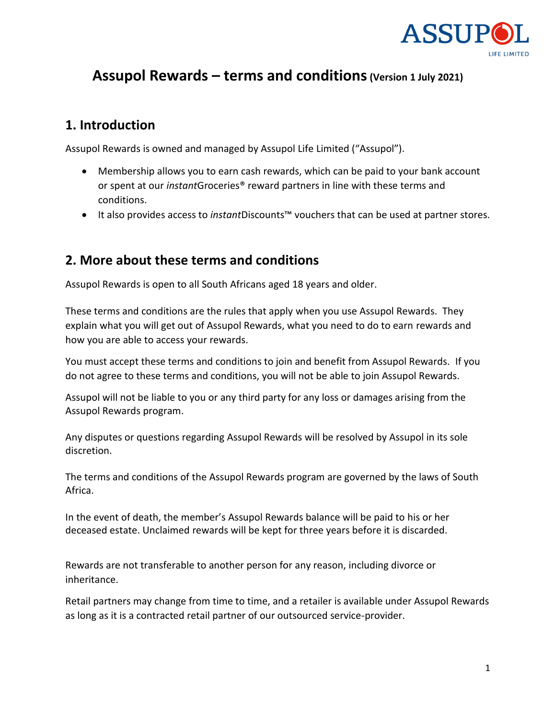

# **Assupol Rewards – terms and conditions(Version 1 July 2021)**

#### **1. Introduction**

Assupol Rewards is owned and managed by Assupol Life Limited ("Assupol").

- Membership allows you to earn cash rewards, which can be paid to your bank account or spent at our *instant*Groceries® reward partners in line with these terms and conditions.
- It also provides access to *instant*Discounts™ vouchers that can be used at partner stores.

#### **2. More about these terms and conditions**

Assupol Rewards is open to all South Africans aged 18 years and older.

These terms and conditions are the rules that apply when you use Assupol Rewards. They explain what you will get out of Assupol Rewards, what you need to do to earn rewards and how you are able to access your rewards.

You must accept these terms and conditions to join and benefit from Assupol Rewards. If you do not agree to these terms and conditions, you will not be able to join Assupol Rewards.

Assupol will not be liable to you or any third party for any loss or damages arising from the Assupol Rewards program.

Any disputes or questions regarding Assupol Rewards will be resolved by Assupol in its sole discretion.

The terms and conditions of the Assupol Rewards program are governed by the laws of South Africa.

In the event of death, the member's Assupol Rewards balance will be paid to his or her deceased estate. Unclaimed rewards will be kept for three years before it is discarded.

Rewards are not transferable to another person for any reason, including divorce or inheritance.

Retail partners may change from time to time, and a retailer is available under Assupol Rewards as long as it is a contracted retail partner of our outsourced service-provider.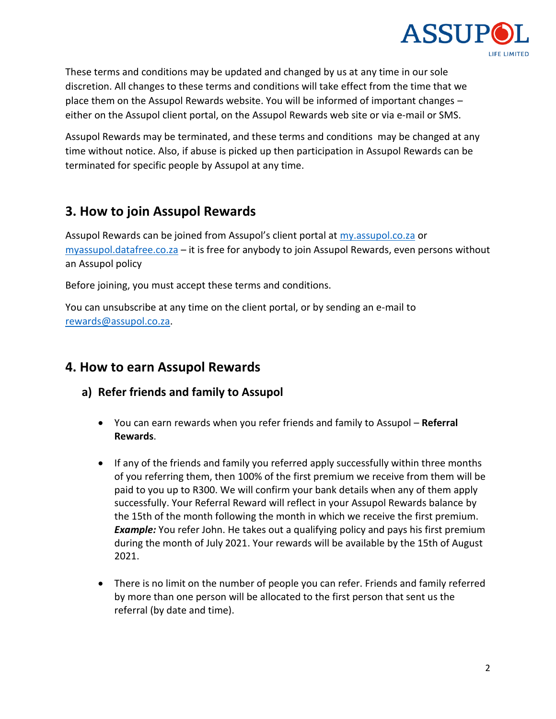

These terms and conditions may be updated and changed by us at any time in our sole discretion. All changes to these terms and conditions will take effect from the time that we place them on the Assupol Rewards website. You will be informed of important changes – either on the Assupol client portal, on the Assupol Rewards web site or via e-mail or SMS.

Assupol Rewards may be terminated, and these terms and conditions may be changed at any time without notice. Also, if abuse is picked up then participation in Assupol Rewards can be terminated for specific people by Assupol at any time.

## **3. How to join Assupol Rewards**

Assupol Rewards can be joined from Assupol's client portal at [my.assupol.co.za](http://my.assupol.co.za/) or [myassupol.datafree.co.za](http://myassupol.datafree.co.za/) – it is free for anybody to join Assupol Rewards, even persons without an Assupol policy

Before joining, you must accept these terms and conditions.

You can unsubscribe at any time on the client portal, or by sending an e-mail to [rewards@assupol.co.za.](mailto:rewards@assupol.co.za)

#### **4. How to earn Assupol Rewards**

- **a) Refer friends and family to Assupol**
	- You can earn rewards when you refer friends and family to Assupol **Referral Rewards**.
	- If any of the friends and family you referred apply successfully within three months of you referring them, then 100% of the first premium we receive from them will be paid to you up to R300. We will confirm your bank details when any of them apply successfully. Your Referral Reward will reflect in your Assupol Rewards balance by the 15th of the month following the month in which we receive the first premium. *Example:* You refer John. He takes out a qualifying policy and pays his first premium during the month of July 2021. Your rewards will be available by the 15th of August 2021.
	- There is no limit on the number of people you can refer. Friends and family referred by more than one person will be allocated to the first person that sent us the referral (by date and time).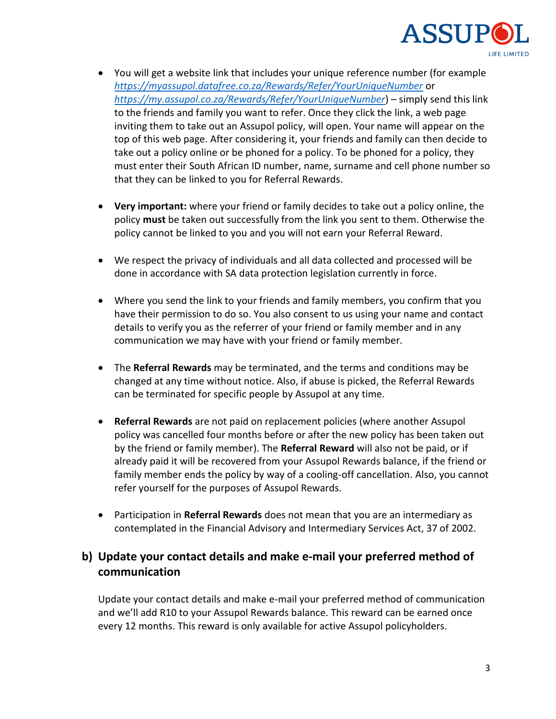

- You will get a website link that includes your unique reference number (for example *<https://myassupol.datafree.co.za/Rewards/Refer/YourUniqueNumber>* or *<https://my.assupol.co.za/Rewards/Refer/YourUniqueNumber>*) – simply send this link to the friends and family you want to refer. Once they click the link, a web page inviting them to take out an Assupol policy, will open. Your name will appear on the top of this web page. After considering it, your friends and family can then decide to take out a policy online or be phoned for a policy. To be phoned for a policy, they must enter their South African ID number, name, surname and cell phone number so that they can be linked to you for Referral Rewards.
- **Very important:** where your friend or family decides to take out a policy online, the policy **must** be taken out successfully from the link you sent to them. Otherwise the policy cannot be linked to you and you will not earn your Referral Reward.
- We respect the privacy of individuals and all data collected and processed will be done in accordance with SA data protection legislation currently in force.
- Where you send the link to your friends and family members, you confirm that you have their permission to do so. You also consent to us using your name and contact details to verify you as the referrer of your friend or family member and in any communication we may have with your friend or family member.
- The **Referral Rewards** may be terminated, and the terms and conditions may be changed at any time without notice. Also, if abuse is picked, the Referral Rewards can be terminated for specific people by Assupol at any time.
- **Referral Rewards** are not paid on replacement policies (where another Assupol policy was cancelled four months before or after the new policy has been taken out by the friend or family member). The **Referral Reward** will also not be paid, or if already paid it will be recovered from your Assupol Rewards balance, if the friend or family member ends the policy by way of a cooling-off cancellation. Also, you cannot refer yourself for the purposes of Assupol Rewards.
- Participation in **Referral Rewards** does not mean that you are an intermediary as contemplated in the Financial Advisory and Intermediary Services Act, 37 of 2002.

#### **b) Update your contact details and make e-mail your preferred method of communication**

Update your contact details and make e-mail your preferred method of communication and we'll add R10 to your Assupol Rewards balance. This reward can be earned once every 12 months. This reward is only available for active Assupol policyholders.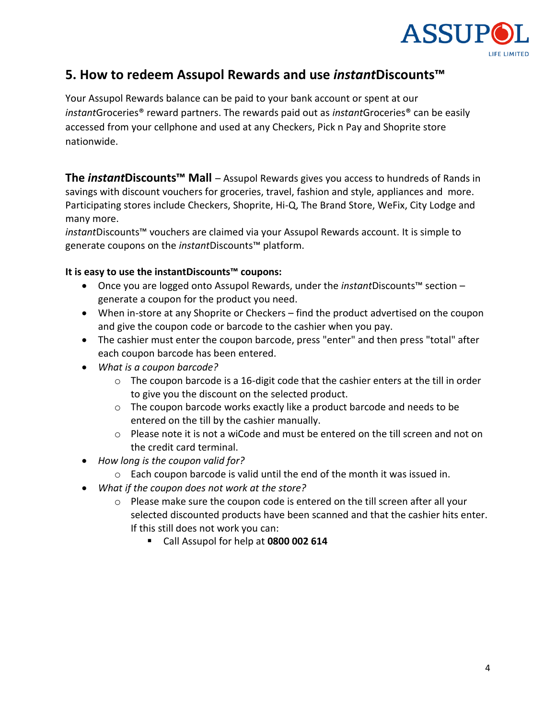

### **5. How to redeem Assupol Rewards and use** *instant***Discounts™**

Your Assupol Rewards balance can be paid to your bank account or spent at our *instant*Groceries® reward partners. The rewards paid out as *instant*Groceries® can be easily accessed from your cellphone and used at any Checkers, Pick n Pay and Shoprite store nationwide.

**The** *instant***Discounts™ Mall** – Assupol Rewards gives you access to hundreds of Rands in savings with discount vouchers for groceries, travel, fashion and style, appliances and more. Participating stores include Checkers, Shoprite, Hi-Q, The Brand Store, WeFix, City Lodge and many more.

*instant*Discounts™ vouchers are claimed via your Assupol Rewards account. It is simple to generate coupons on the *instant*Discounts™ platform.

#### **It is easy to use the instantDiscounts™ coupons:**

- Once you are logged onto Assupol Rewards, under the *instant*Discounts™ section generate a coupon for the product you need.
- When in-store at any Shoprite or Checkers find the product advertised on the coupon and give the coupon code or barcode to the cashier when you pay.
- The cashier must enter the coupon barcode, press "enter" and then press "total" after each coupon barcode has been entered.
- *What is a coupon barcode?*
	- $\circ$  The coupon barcode is a 16-digit code that the cashier enters at the till in order to give you the discount on the selected product.
	- $\circ$  The coupon barcode works exactly like a product barcode and needs to be entered on the till by the cashier manually.
	- $\circ$  Please note it is not a wiCode and must be entered on the till screen and not on the credit card terminal.
- *How long is the coupon valid for?*
	- o Each coupon barcode is valid until the end of the month it was issued in.
- *What if the coupon does not work at the store?*
	- $\circ$  Please make sure the coupon code is entered on the till screen after all your selected discounted products have been scanned and that the cashier hits enter. If this still does not work you can:
		- Call Assupol for help at **[0800 002 614](tel:0800%20002%20614)**